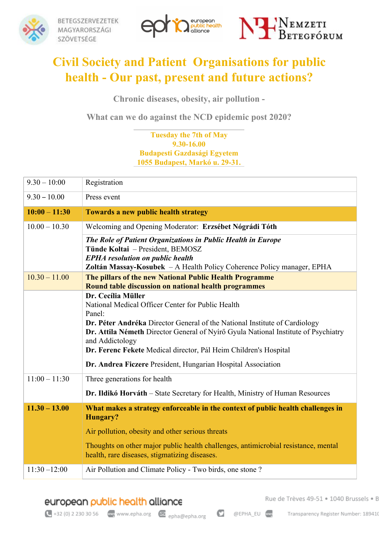





## **Civil Society and Patient Organisations for public health - Our past, present and future actions?**

**Chronic diseases, obesity, air pollution -**

**What can we do against the NCD epidemic post 2020?**

## **Tuesday the 7th of May 9.30-16.00 Budapesti Gazdasági Egyetem 1055 Budapest, Markó u. 29-31.**

| $9.30 - 10:00$  | Registration                                                                                                                                                                        |
|-----------------|-------------------------------------------------------------------------------------------------------------------------------------------------------------------------------------|
| $9.30 - 10.00$  | Press event                                                                                                                                                                         |
| $10:00 - 11:30$ | <b>Towards a new public health strategy</b>                                                                                                                                         |
| $10.00 - 10.30$ | Welcoming and Opening Moderator: Erzsébet Nógrádi Tóth                                                                                                                              |
|                 | The Role of Patient Organizations in Public Health in Europe                                                                                                                        |
|                 | Tünde Koltai - President, BEMOSZ<br><b>EPHA</b> resolution on public health                                                                                                         |
|                 | Zoltán Massay-Kosubek – A Health Policy Coherence Policy manager, EPHA                                                                                                              |
| $10.30 - 11.00$ | The pillars of the new National Public Health Programme<br>Round table discussion on national health programmes                                                                     |
|                 | Dr. Cecília Müller                                                                                                                                                                  |
|                 | National Medical Officer Center for Public Health                                                                                                                                   |
|                 | Panel:                                                                                                                                                                              |
|                 | Dr. Péter Andréka Director General of the National Institute of Cardiology<br>Dr. Attila Németh Director General of Nyírő Gyula National Institute of Psychiatry<br>and Addictology |
|                 | Dr. Ferenc Fekete Medical director, Pál Heim Children's Hospital                                                                                                                    |
|                 | Dr. Andrea Ficzere President, Hungarian Hospital Association                                                                                                                        |
| $11:00 - 11:30$ | Three generations for health                                                                                                                                                        |
|                 | Dr. Ildikó Horváth - State Secretary for Health, Ministry of Human Resources                                                                                                        |
| $11.30 - 13.00$ | What makes a strategy enforceable in the context of public health challenges in<br>Hungary?                                                                                         |
|                 | Air pollution, obesity and other serious threats                                                                                                                                    |
|                 | Thoughts on other major public health challenges, antimicrobial resistance, mental<br>health, rare diseases, stigmatizing diseases.                                                 |
| $11:30 - 12:00$ | Air Pollution and Climate Policy - Two birds, one stone?                                                                                                                            |

european public health alliance

Rue de Trèves 49-51 · 1040 Brussels · B

 $\leftarrow$  +32 (0) 2 230 30 56  $\leftarrow$  www.epha.org  $\leftarrow$  epha@epha.org

O @EPHA\_EU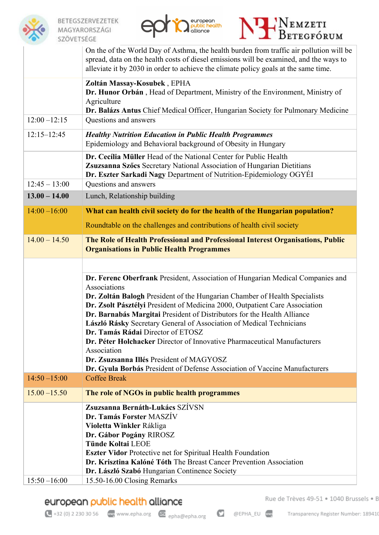





|                 | On the of the World Day of Asthma, the health burden from traffic air pollution will be<br>spread, data on the health costs of diesel emissions will be examined, and the ways to<br>alleviate it by 2030 in order to achieve the climate policy goals at the same time.                                                                                                                                                                                                                                                                                                                                                                                                 |
|-----------------|--------------------------------------------------------------------------------------------------------------------------------------------------------------------------------------------------------------------------------------------------------------------------------------------------------------------------------------------------------------------------------------------------------------------------------------------------------------------------------------------------------------------------------------------------------------------------------------------------------------------------------------------------------------------------|
|                 | Zoltán Massay-Kosubek, EPHA<br>Dr. Hunor Orbán, Head of Department, Ministry of the Environment, Ministry of<br>Agriculture<br>Dr. Balázs Antus Chief Medical Officer, Hungarian Society for Pulmonary Medicine                                                                                                                                                                                                                                                                                                                                                                                                                                                          |
| $12:00 - 12:15$ | Questions and answers                                                                                                                                                                                                                                                                                                                                                                                                                                                                                                                                                                                                                                                    |
| $12:15 - 12:45$ | <b>Healthy Nutrition Education in Public Health Programmes</b><br>Epidemiology and Behavioral background of Obesity in Hungary                                                                                                                                                                                                                                                                                                                                                                                                                                                                                                                                           |
|                 | Dr. Cecília Müller Head of the National Center for Public Health<br>Zsuzsanna Szőcs Secretary National Association of Hungarian Dietitians<br>Dr. Eszter Sarkadi Nagy Department of Nutrition-Epidemiology OGYÉI                                                                                                                                                                                                                                                                                                                                                                                                                                                         |
| $12:45 - 13:00$ | Questions and answers                                                                                                                                                                                                                                                                                                                                                                                                                                                                                                                                                                                                                                                    |
| $13.00 - 14.00$ | Lunch, Relationship building                                                                                                                                                                                                                                                                                                                                                                                                                                                                                                                                                                                                                                             |
| $14:00 - 16:00$ | What can health civil society do for the health of the Hungarian population?                                                                                                                                                                                                                                                                                                                                                                                                                                                                                                                                                                                             |
|                 | Roundtable on the challenges and contributions of health civil society                                                                                                                                                                                                                                                                                                                                                                                                                                                                                                                                                                                                   |
| $14.00 - 14.50$ | The Role of Health Professional and Professional Interest Organisations, Public<br><b>Organisations in Public Health Programmes</b>                                                                                                                                                                                                                                                                                                                                                                                                                                                                                                                                      |
|                 |                                                                                                                                                                                                                                                                                                                                                                                                                                                                                                                                                                                                                                                                          |
|                 | Dr. Ferenc Oberfrank President, Association of Hungarian Medical Companies and<br>Associations<br>Dr. Zoltán Balogh President of the Hungarian Chamber of Health Specialists<br>Dr. Zsolt Pásztélyi President of Medicina 2000, Outpatient Care Association<br>Dr. Barnabás Margitai President of Distributors for the Health Alliance<br>László Rásky Secretary General of Association of Medical Technicians<br>Dr. Tamás Rádai Director of ETOSZ<br>Dr. Péter Holchacker Director of Innovative Pharmaceutical Manufacturers<br>Association<br>Dr. Zsuzsanna Illés President of MAGYOSZ<br>Dr. Gyula Borbás President of Defense Association of Vaccine Manufacturers |
| $14:50 - 15:00$ | <b>Coffee Break</b>                                                                                                                                                                                                                                                                                                                                                                                                                                                                                                                                                                                                                                                      |
| $15.00 - 15.50$ | The role of NGOs in public health programmes                                                                                                                                                                                                                                                                                                                                                                                                                                                                                                                                                                                                                             |
|                 | Zsuzsanna Bernáth-Lukács SZÍVSN<br>Dr. Tamás Forster MASZÍV<br>Violetta Winkler Rákliga<br>Dr. Gábor Pogány RIROSZ<br><b>Tünde Koltai LEOE</b><br><b>Eszter Vidor Protective net for Spiritual Health Foundation</b><br>Dr. Krisztina Kalóné Tóth The Breast Cancer Prevention Association<br>Dr. László Szabó Hungarian Continence Society                                                                                                                                                                                                                                                                                                                              |
| $15:50 - 16:00$ | 15.50-16.00 Closing Remarks                                                                                                                                                                                                                                                                                                                                                                                                                                                                                                                                                                                                                                              |

## european public health alliance

Rue de Trèves 49-51 · 1040 Brussels · B